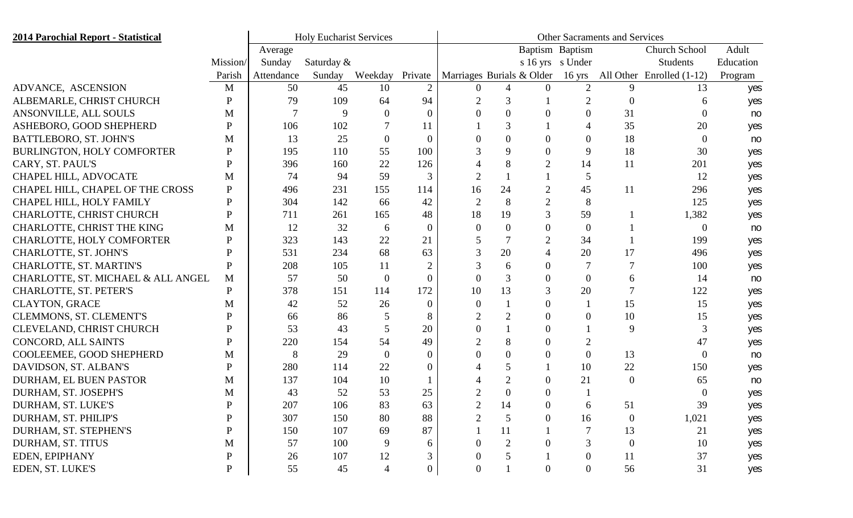| <b>2014 Parochial Report - Statistical</b> |              | <b>Holy Eucharist Services</b> | <b>Other Sacraments and Services</b> |                |                |                           |                |                |                  |                |                           |           |
|--------------------------------------------|--------------|--------------------------------|--------------------------------------|----------------|----------------|---------------------------|----------------|----------------|------------------|----------------|---------------------------|-----------|
|                                            |              | Average                        |                                      |                |                | Baptism Baptism           |                |                |                  |                | <b>Church School</b>      | Adult     |
|                                            | Mission/     | Sunday                         | Saturday &                           |                |                |                           |                |                | s 16 yrs s Under |                | Students                  | Education |
|                                            | Parish       | Attendance                     | Sunday                               | Weekday        | Private        | Marriages Burials & Older |                |                | $16 \text{ yrs}$ |                | All Other Enrolled (1-12) | Program   |
| ADVANCE, ASCENSION                         | M            | 50                             | 45                                   | 10             | $\overline{2}$ | $\Omega$                  | 4              | $\Omega$       | $\overline{2}$   | 9              | 13                        | yes       |
| ALBEMARLE, CHRIST CHURCH                   | P            | 79                             | 109                                  | 64             | 94             |                           | 3              |                | $\overline{2}$   | $\overline{0}$ |                           | yes       |
| ANSONVILLE, ALL SOULS                      | М            |                                | 9                                    | 0              | $\Omega$       |                           | 0              | $\Omega$       | $\Omega$         | 31             |                           | no        |
| ASHEBORO, GOOD SHEPHERD                    | P            | 106                            | 102                                  |                |                |                           | 3              |                |                  | 35             | 20                        | yes       |
| BATTLEBORO, ST. JOHN'S                     | М            | 13                             | 25                                   | $\mathbf{0}$   | $\theta$       |                           | $\theta$       | 0              | $\theta$         | 18             | $\Omega$                  | no        |
| <b>BURLINGTON, HOLY COMFORTER</b>          | P            | 195                            | 110                                  | 55             | 100            |                           | 9              | $\Omega$       | 9                | 18             | 30                        | yes       |
| CARY, ST. PAUL'S                           | P            | 396                            | 160                                  | 22             | 126            |                           | 8              | $\overline{2}$ | 14               | 11             | 201                       | yes       |
| CHAPEL HILL, ADVOCATE                      | M            | 74                             | 94                                   | 59             | 3              |                           |                |                | 5                |                | 12                        | yes       |
| CHAPEL HILL, CHAPEL OF THE CROSS           | P            | 496                            | 231                                  | 155            | 114            | 16                        | 24             | $\overline{2}$ | 45               | 11             | 296                       | yes       |
| CHAPEL HILL, HOLY FAMILY                   | P            | 304                            | 142                                  | 66             | 42             | $\overline{2}$            | 8              | $\overline{2}$ | 8                |                | 125                       | yes       |
| CHARLOTTE, CHRIST CHURCH                   | P            | 711                            | 261                                  | 165            | 48             | 18                        | 19             | 3              | 59               |                | 1,382                     | yes       |
| CHARLOTTE, CHRIST THE KING                 | M            | 12                             | 32                                   | 6              | $\Omega$       | $\overline{0}$            | 0              | 0              | $\overline{0}$   |                | $\Omega$                  | no        |
| CHARLOTTE, HOLY COMFORTER                  | P            | 323                            | 143                                  | 22             | 21             |                           |                | 2              | 34               |                | 199                       | yes       |
| CHARLOTTE, ST. JOHN'S                      | P            | 531                            | 234                                  | 68             | 63             | 3                         | 20             | 4              | 20               | 17             | 496                       | yes       |
| CHARLOTTE, ST. MARTIN'S                    | P            | 208                            | 105                                  | 11             | $\overline{2}$ |                           | 6              | 0              |                  |                | 100                       | yes       |
| CHARLOTTE, ST. MICHAEL & ALL ANGEL         | M            | 57                             | 50                                   | $\overline{0}$ | $\Omega$       | $\Omega$                  | 3              | $\Omega$       | $\overline{0}$   | 6              | 14                        | no        |
| CHARLOTTE, ST. PETER'S                     | P            | 378                            | 151                                  | 114            | 172            | 10                        | 13             | 3              | 20               |                | 122                       | yes       |
| <b>CLAYTON, GRACE</b>                      | M            | 42                             | 52                                   | 26             | $\Omega$       | $\theta$                  |                | $\Omega$       |                  | 15             | 15                        | yes       |
| CLEMMONS, ST. CLEMENT'S                    | P            | 66                             | 86                                   |                | 8              | $\overline{2}$            | $\overline{2}$ | 0              | $\Omega$         | 10             | 15                        | yes       |
| CLEVELAND, CHRIST CHURCH                   | P            | 53                             | 43                                   | 5              | 20             | $\overline{0}$            |                | $\Omega$       |                  | 9              | 3                         | yes       |
| CONCORD, ALL SAINTS                        | P            | 220                            | 154                                  | 54             | 49             | $\overline{2}$            | 8              | $\Omega$       | $\overline{2}$   |                | 47                        | yes       |
| COOLEEMEE, GOOD SHEPHERD                   | M            | 8                              | 29                                   | $\Omega$       | 0              | $\Omega$                  | $\Omega$       | $\Omega$       | $\overline{0}$   | 13             | $\Omega$                  | no        |
| DAVIDSON, ST. ALBAN'S                      | P            | 280                            | 114                                  | 22             | $\theta$       |                           |                |                | 10               | 22             | 150                       | yes       |
| DURHAM, EL BUEN PASTOR                     | M            | 137                            | 104                                  | 10             |                |                           | $\overline{2}$ | $\Omega$       | 21               | $\overline{0}$ | 65                        | no        |
| DURHAM, ST. JOSEPH'S                       | M            | 43                             | 52                                   | 53             | 25             |                           |                | 0              |                  |                |                           | yes       |
| DURHAM, ST. LUKE'S                         | D            | 207                            | 106                                  | 83             | 63             |                           | 14             | 0              | 6                | 51             | 39                        | yes       |
| DURHAM, ST. PHILIP'S                       | $\mathbf{P}$ | 307                            | 150                                  | 80             | 88             | $\overline{2}$            | 5              | $\mathbf{0}$   | 16               | $\overline{0}$ | 1,021                     | yes       |
| DURHAM, ST. STEPHEN'S                      | P            | 150                            | 107                                  | 69             | 87             |                           | 11             |                |                  | 13             | 21                        | yes       |
| DURHAM, ST. TITUS                          | M            | 57                             | 100                                  | 9              |                | $\overline{0}$            | $\overline{2}$ |                |                  | $\overline{0}$ | 10                        | yes       |
| EDEN, EPIPHANY                             | P            | 26                             | 107                                  | 12             |                | $\theta$                  |                |                | $\Omega$         | 11             | 37                        | yes       |
| EDEN, ST. LUKE'S                           | P            | 55                             | 45                                   |                | $\overline{0}$ | $\boldsymbol{0}$          |                | $\overline{0}$ | $\overline{0}$   | 56             | 31                        | yes       |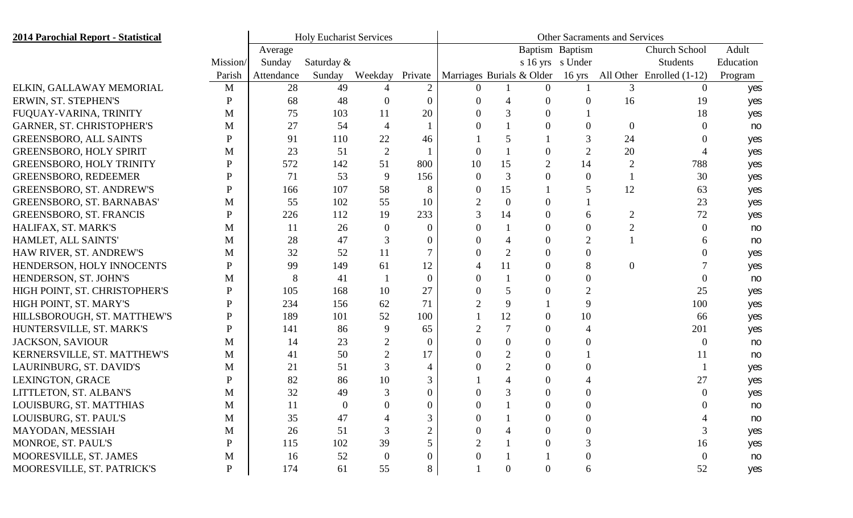| <b>2014 Parochial Report - Statistical</b> |              | <b>Holy Eucharist Services</b> | Other Sacraments and Services |                |                |                           |                |                |                  |                |                           |           |
|--------------------------------------------|--------------|--------------------------------|-------------------------------|----------------|----------------|---------------------------|----------------|----------------|------------------|----------------|---------------------------|-----------|
|                                            |              | Average                        |                               |                |                | Baptism Baptism           |                |                |                  |                | Church School             | Adult     |
|                                            | Mission/     | Sunday                         | Saturday &                    |                |                |                           |                |                | s 16 yrs s Under |                | Students                  | Education |
|                                            | Parish       | Attendance                     | Sunday                        | Weekday        | Private        | Marriages Burials & Older |                |                | $16 \text{ yrs}$ |                | All Other Enrolled (1-12) | Program   |
| ELKIN, GALLAWAY MEMORIAL                   | M            | 28                             | 49                            |                | $\overline{2}$ | $\Omega$                  |                | $\overline{0}$ |                  | 3              | $\Omega$                  | yes       |
| ERWIN, ST. STEPHEN'S                       | P            | 68                             | 48                            |                | $\Omega$       |                           |                | $\overline{0}$ | $\theta$         | 16             | 19                        | yes       |
| FUQUAY-VARINA, TRINITY                     | M            | 75                             | 103                           | 11             | 20             |                           |                | 0              |                  |                | 18                        | yes       |
| <b>GARNER, ST. CHRISTOPHER'S</b>           | M            | 27                             | 54                            | $\overline{4}$ |                |                           |                | $\Omega$       | $\Omega$         | $\theta$       |                           | no        |
| <b>GREENSBORO, ALL SAINTS</b>              | P            | 91                             | 110                           | 22             | 46             |                           |                |                |                  | 24             |                           | yes       |
| <b>GREENSBORO, HOLY SPIRIT</b>             | M            | 23                             | 51                            | $\overline{2}$ |                | $\Omega$                  |                | 0              | $\overline{2}$   | 20             |                           | yes       |
| <b>GREENSBORO, HOLY TRINITY</b>            | P            | 572                            | 142                           | 51             | 800            | 10                        | 15             | $\overline{2}$ | 14               | $\overline{2}$ | 788                       | yes       |
| <b>GREENSBORO, REDEEMER</b>                | P            | 71                             | 53                            | 9              | 156            | $\overline{0}$            | 3              | 0              | $\Omega$         |                | 30                        | yes       |
| <b>GREENSBORO, ST. ANDREW'S</b>            | P            | 166                            | 107                           | 58             | 8              | $\Omega$                  | 15             |                |                  | 12             | 63                        | yes       |
| <b>GREENSBORO, ST. BARNABAS'</b>           | M            | 55                             | 102                           | 55             | 10             |                           | $\overline{0}$ | 0              |                  |                | 23                        | yes       |
| <b>GREENSBORO, ST. FRANCIS</b>             | P            | 226                            | 112                           | 19             | 233            |                           | 14             | 0              | 6                | $\overline{2}$ | 72                        | yes       |
| HALIFAX, ST. MARK'S                        | M            | 11                             | 26                            | $\Omega$       | $\theta$       | 0                         |                | $\Omega$       | 0                | $\overline{2}$ | $\theta$                  | no        |
| HAMLET, ALL SAINTS'                        | M            | 28                             | 47                            | 3              | $\Omega$       |                           |                | 0              | $\overline{2}$   |                |                           | no        |
| HAW RIVER, ST. ANDREW'S                    | M            | 32                             | 52                            | 11             |                |                           | $\overline{2}$ | $\Omega$       | 0                |                |                           | yes       |
| HENDERSON, HOLY INNOCENTS                  | P            | 99                             | 149                           | 61             | 12             |                           | 11             | 0              | 8                | $\theta$       |                           | yes       |
| HENDERSON, ST. JOHN'S                      | M            | 8                              | 41                            |                | $\Omega$       |                           |                | $\Omega$       | $\Omega$         |                |                           | no        |
| HIGH POINT, ST. CHRISTOPHER'S              | P            | 105                            | 168                           | 10             | 27             |                           |                | 0              | $\overline{2}$   |                | 25                        | yes       |
| HIGH POINT, ST. MARY'S                     | P            | 234                            | 156                           | 62             | 71             |                           | 9              |                | 9                |                | 100                       | yes       |
| HILLSBOROUGH, ST. MATTHEW'S                | P            | 189                            | 101                           | 52             | 100            |                           | 12             | 0              | 10               |                | 66                        | yes       |
| HUNTERSVILLE, ST. MARK'S                   | P            | 141                            | 86                            | 9              | 65             |                           |                | $\Omega$       |                  |                | 201                       | yes       |
| <b>JACKSON, SAVIOUR</b>                    | M            | 14                             | 23                            | $\overline{2}$ | $\theta$       |                           | $\overline{0}$ | $\overline{0}$ | $\Omega$         |                |                           | no        |
| KERNERSVILLE, ST. MATTHEW'S                | M            | 41                             | 50                            | 2              | 17             |                           | $\overline{2}$ | $\Omega$       |                  |                | 11                        | no        |
| LAURINBURG, ST. DAVID'S                    | M            | 21                             | 51                            |                |                |                           | $\overline{2}$ | 0              |                  |                |                           | yes       |
| LEXINGTON, GRACE                           | P            | 82                             | 86                            | 10             |                |                           |                | $\Omega$       |                  |                | 27                        | yes       |
| LITTLETON, ST. ALBAN'S                     | M            | 32                             | 49                            |                |                |                           |                |                |                  |                |                           | yes       |
| LOUISBURG, ST. MATTHIAS                    | M            | 11                             | $\Omega$                      |                | $\Omega$       |                           |                |                |                  |                |                           | no        |
| LOUISBURG, ST. PAUL'S                      | $\mathbf{M}$ | 35                             | 47                            |                | 3              | $\boldsymbol{0}$          |                | $\overline{0}$ | $\overline{0}$   |                |                           | no        |
| MAYODAN, MESSIAH                           | M            | 26                             | 51                            |                |                | $\theta$                  |                | $\overline{0}$ | $\theta$         |                | 3                         | yes       |
| MONROE, ST. PAUL'S                         | P            | 115                            | 102                           | 39             |                | $\overline{2}$            |                |                |                  |                | 16                        | yes       |
| MOORESVILLE, ST. JAMES                     | $\mathbf{M}$ | 16                             | 52                            | $\Omega$       | $\Omega$       |                           |                |                | $\theta$         |                | $\theta$                  | no        |
| MOORESVILLE, ST. PATRICK'S                 | $\mathbf{P}$ | 174                            | 61                            | 55             | 8              |                           | $\overline{0}$ | $\overline{0}$ | 6                |                | 52                        | yes       |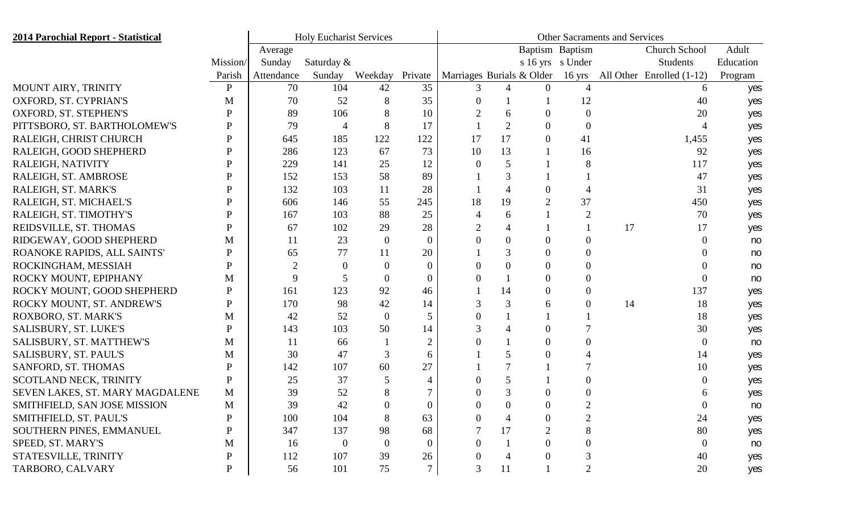| <b>2014 Parochial Report - Statistical</b> |              | <b>Holy Eucharist Services</b> | <b>Other Sacraments and Services</b> |                  |                |                                  |          |                |                  |    |                             |           |
|--------------------------------------------|--------------|--------------------------------|--------------------------------------|------------------|----------------|----------------------------------|----------|----------------|------------------|----|-----------------------------|-----------|
|                                            |              | Average                        |                                      |                  |                | Baptism Baptism<br>Church School |          |                |                  |    |                             | Adult     |
|                                            | Mission/     | Sunday                         | Saturday &                           |                  |                |                                  |          |                | s 16 yrs s Under |    | Students                    | Education |
|                                            | Parish       | Attendance                     | Sunday                               | Weekday          | Private        | Marriages Burials & Older        |          |                | $16 \text{ yrs}$ |    | All Other Enrolled $(1-12)$ | Program   |
| MOUNT AIRY, TRINITY                        | P            | 70                             | 104                                  | 42               | 35             |                                  | 4        | $\Omega$       |                  |    | 6                           | yes       |
| OXFORD, ST. CYPRIAN'S                      | M            | 70                             | 52                                   | 8                | 35             |                                  |          |                | 12               |    | 40                          | yes       |
| OXFORD, ST. STEPHEN'S                      | D            | 89                             | 106                                  |                  | 10             |                                  | 6        | $\Omega$       | $\Omega$         |    | 20                          | yes       |
| PITTSBORO, ST. BARTHOLOMEW'S               |              | 79                             | 4                                    | 8                | 17             |                                  |          | $\overline{0}$ | $\theta$         |    |                             | yes       |
| RALEIGH, CHRIST CHURCH                     | P            | 645                            | 185                                  | 122              | 122            | 17                               | 17       | 0              | 41               |    | 1,455                       | yes       |
| RALEIGH, GOOD SHEPHERD                     |              | 286                            | 123                                  | 67               | 73             | 10                               | 13       |                | 16               |    | 92                          | yes       |
| RALEIGH, NATIVITY                          |              | 229                            | 141                                  | 25               | 12             | $\Omega$                         |          |                |                  |    | 117                         | yes       |
| RALEIGH, ST. AMBROSE                       |              | 152                            | 153                                  | 58               | 89             |                                  | 3        |                |                  |    | 47                          | yes       |
| RALEIGH, ST. MARK'S                        |              | 132                            | 103                                  | 11               | 28             |                                  | 4        | 0              |                  |    | 31                          | yes       |
| RALEIGH, ST. MICHAEL'S                     |              | 606                            | 146                                  | 55               | 245            | 18                               | 19       | $\overline{2}$ | 37               |    | 450                         | yes       |
| RALEIGH, ST. TIMOTHY'S                     | D            | 167                            | 103                                  | 88               | 25             |                                  | 6        |                | $\overline{2}$   |    | 70                          | yes       |
| REIDSVILLE, ST. THOMAS                     |              | 67                             | 102                                  | 29               | 28             |                                  | 4        |                |                  | 17 | 17                          | yes       |
| RIDGEWAY, GOOD SHEPHERD                    | М            | 11                             | 23                                   | $\boldsymbol{0}$ | $\theta$       |                                  | $\theta$ | 0              | $\Omega$         |    |                             | no        |
| ROANOKE RAPIDS, ALL SAINTS'                | P            | 65                             | 77                                   | 11               | 20             |                                  | 3        | $\Omega$       | $\Omega$         |    |                             | no        |
| ROCKINGHAM, MESSIAH                        | P            | 2                              | $\Omega$                             |                  | 0              |                                  | 0        | 0              | $\Omega$         |    |                             | no        |
| ROCKY MOUNT, EPIPHANY                      | M            | 9                              | 5                                    | $\theta$         | $\Omega$       |                                  |          | $\overline{0}$ | $\Omega$         |    |                             | no        |
| ROCKY MOUNT, GOOD SHEPHERD                 | P            | 161                            | 123                                  | 92               | 46             |                                  | 14       | 0              | $\Omega$         |    | 137                         | yes       |
| ROCKY MOUNT, ST. ANDREW'S                  | P            | 170                            | 98                                   | 42               | 14             | 3                                | 3        | 6              | $\Omega$         | 14 | 18                          | yes       |
| ROXBORO, ST. MARK'S                        | M            | 42                             | 52                                   | $\overline{0}$   | 5              |                                  |          |                |                  |    | 18                          | yes       |
| SALISBURY, ST. LUKE'S                      | P            | 143                            | 103                                  | 50               | 14             |                                  | 4        | 0              |                  |    | 30                          | yes       |
| SALISBURY, ST. MATTHEW'S                   | M            | 11                             | 66                                   |                  | $\overline{2}$ |                                  |          | $\overline{0}$ | $\Omega$         |    |                             | no        |
| SALISBURY, ST. PAUL'S                      | M            | 30                             | 47                                   | 3                | 6              |                                  |          | 0              |                  |    | 14                          | yes       |
| SANFORD, ST. THOMAS                        | P            | 142                            | 107                                  | 60               | 27             |                                  |          |                |                  |    | 10                          | yes       |
| SCOTLAND NECK, TRINITY                     | P            | 25                             | 37                                   |                  |                |                                  |          |                | $\theta$         |    |                             | yes       |
| SEVEN LAKES, ST. MARY MAGDALENE            | M            | 39                             | 52                                   |                  |                |                                  |          |                |                  |    |                             | yes       |
| SMITHFIELD, SAN JOSE MISSION               | M            | 39                             | 42                                   |                  |                |                                  |          | 0              |                  |    |                             | no        |
| SMITHFIELD, ST. PAUL'S                     | $\mathbf{P}$ | 100                            | 104                                  | 8                | 63             | $\Omega$                         | 4        | $\overline{0}$ | $\overline{2}$   |    | 24                          | yes       |
| SOUTHERN PINES, EMMANUEL                   | P            | 347                            | 137                                  | 98               | 68             |                                  | 17       | $\overline{2}$ | 8                |    | 80                          | yes       |
| SPEED, ST. MARY'S                          | M            | 16                             | $\overline{0}$                       | $\Omega$         | $\Omega$       | $\overline{0}$                   |          | 0              | $\Omega$         |    | $\Omega$                    | no        |
| STATESVILLE, TRINITY                       | P            | 112                            | 107                                  | 39               | 26             |                                  | 4        | 0              |                  |    | 40                          | yes       |
| TARBORO, CALVARY                           | P            | 56                             | 101                                  | 75               | 7              | $\overline{3}$                   | 11       |                | $\overline{2}$   |    | 20                          | yes       |